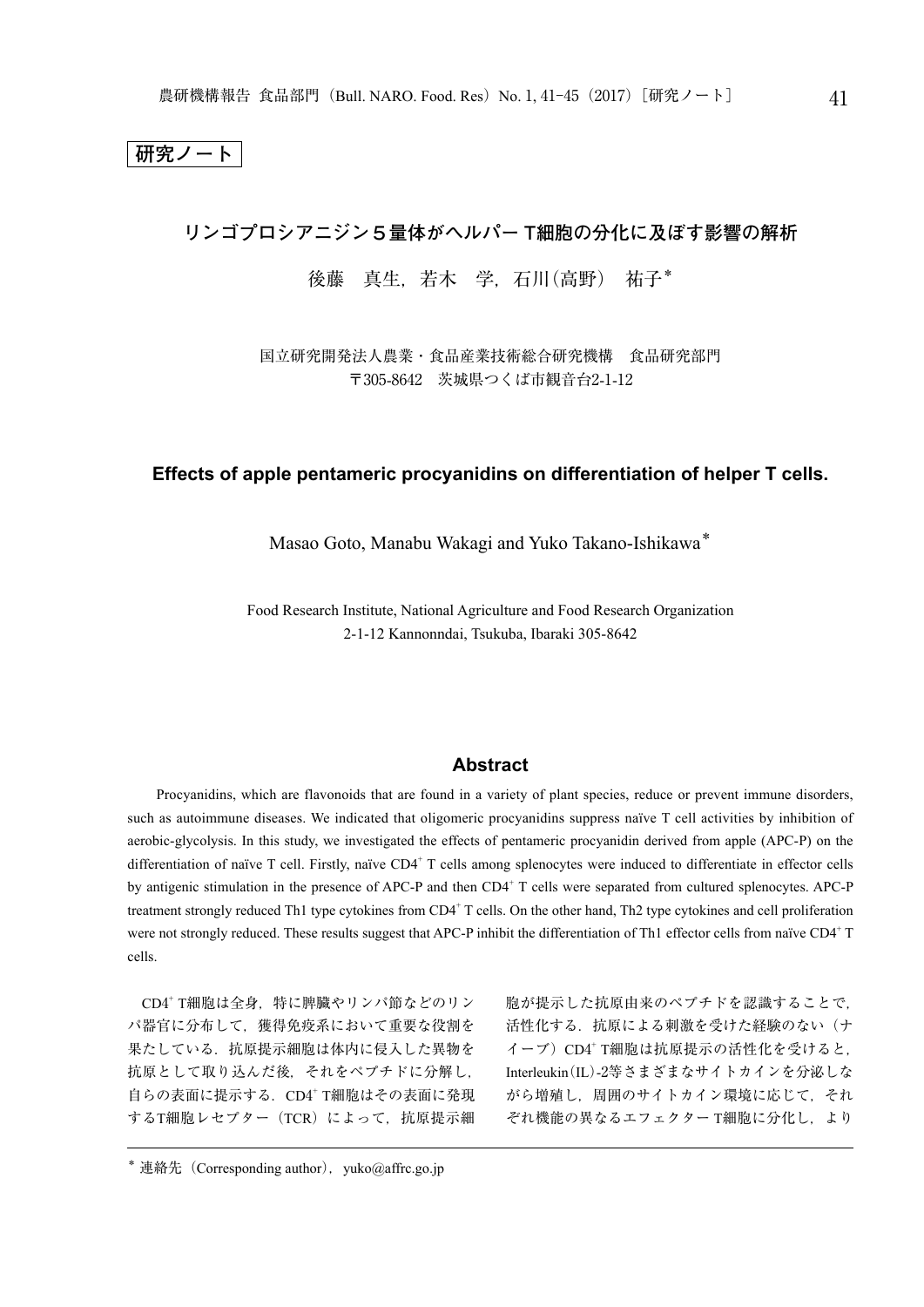**研究ノート**

# **リンゴプロシアニジン5量体がヘルパー T細胞の分化に及ぼす影響の解析**

# 後藤 真生,若木 学,石川(高野) 祐子\*

国立研究開発法人農業・食品産業技術総合研究機構 食品研究部門 〒305-8642 茨城県つくば市観音台2-1-12

# **Effects of apple pentameric procyanidins on differentiation of helper T cells.**

Masao Goto, Manabu Wakagi and Yuko Takano-Ishikawa\*

Food Research Institute, National Agriculture and Food Research Organization 2-1-12 Kannonndai, Tsukuba, Ibaraki 305-8642

# **Abstract**

Procyanidins, which are flavonoids that are found in a variety of plant species, reduce or prevent immune disorders, such as autoimmune diseases. We indicated that oligomeric procyanidins suppress naïve T cell activities by inhibition of aerobic-glycolysis. In this study, we investigated the effects of pentameric procyanidin derived from apple (APC-P) on the differentiation of naïve T cell. Firstly, naïve CD4<sup>+</sup> T cells among splenocytes were induced to differentiate in effector cells by antigenic stimulation in the presence of APC-P and then CD4<sup>+</sup> T cells were separated from cultured splenocytes. APC-P treatment strongly reduced Th1 type cytokines from CD4<sup>+</sup> T cells. On the other hand, Th2 type cytokines and cell proliferation were not strongly reduced. These results suggest that APC-P inhibit the differentiation of Th1 effector cells from naïve CD4+T cells.

CD4<sup>+</sup> T細胞は全身,特に脾臓やリンパ節などのリン パ器官に分布して,獲得免疫系において重要な役割を 果たしている. 抗原提示細胞は体内に侵入した異物を 抗原として取り込んだ後,それをペプチドに分解し, 自らの表面に提示する. CD4+ T細胞はその表面に発現 するT細胞レセプター (TCR) によって、抗原提示細 胞が提示した抗原由来のペプチドを認識することで, 活性化する.抗原による刺激を受けた経験のない(ナ イーブ) CD4+ T細胞は抗原提示の活性化を受けると, Interleukin (IL)-2等さまざまなサイトカインを分泌しな がら増殖し,周囲のサイトカイン環境に応じて,それ ぞれ機能の異なるエフェクター T細胞に分化し、より

 $*$  連絡先 (Corresponding author), vuko@affrc.go.jp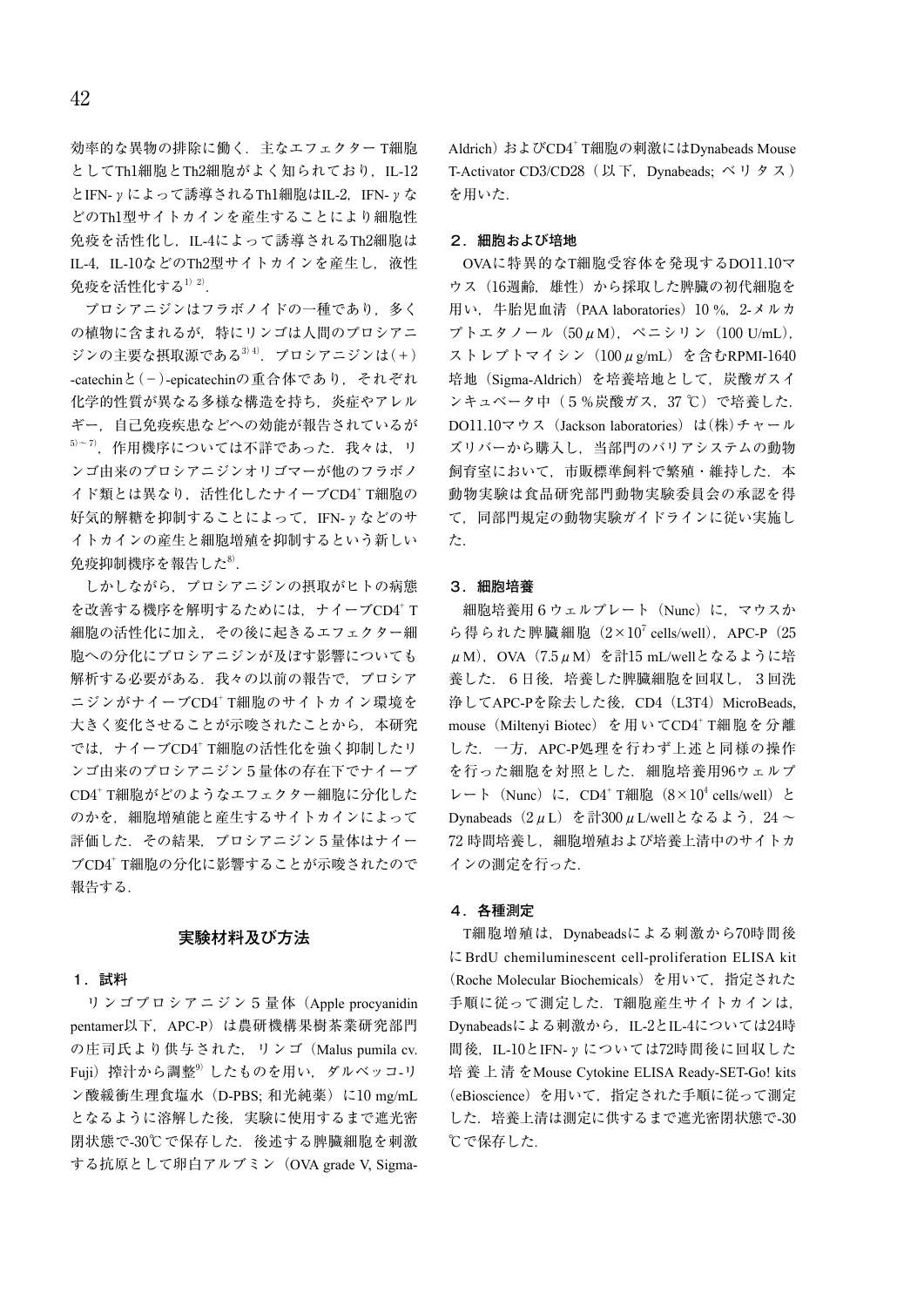効率的な異物の排除に働く.主なエフェクター T細胞 としてTh1細胞とTh2細胞がよく知られており、IL-12 とIFN-γによって誘導されるTh1細胞はIL-2,IFN-γな どのTh1型サイトカインを産生することにより細胞性 免疫を活性化し,IL-4によって誘導されるTh2細胞は IL-4, IL-10などのTh2型サイトカインを産生し, 液性 免疫を活性化する $^{1)}$   $^{2)}$ .

プロシアニジンはフラボノイドの一種であり、多く の植物に含まれるが,特にリンゴは人間のプロシアニ ジンの主要な摂取源である $3^{3/4}$ . プロシアニジンは $(+)$ -catechinと(-)-epicatechinの重合体であり,それぞれ 化学的性質が異なる多様な構造を持ち,炎症やアレル ギー,自己免疫疾患などへの効能が報告されているが  $^{5)-7)}$ ,作用機序については不詳であった.我々は,リ ンゴ由来のプロシアニジンオリゴマーが他のフラボノ イド類とは異なり、活性化したナイーブCD4+ T細胞の 好気的解糖を抑制することによって,IFN-γなどのサ イトカインの産生と細胞増殖を抑制するという新しい 免疫抑制機序を報告した $^{\rm 8)}$ .

しかしながら,プロシアニジンの摂取がヒトの病態 を改善する機序を解明するためには、ナイーブCD4+ T 細胞の活性化に加え,その後に起きるエフェクター細 胞への分化にプロシアニジンが及ぼす影響についても 解析する必要がある. 我々の以前の報告で、プロシア ニジンがナイーブCD4+ T細胞のサイトカイン環境を 大きく変化させることが示唆されたことから、本研究 では、ナイーブCD4+ T細胞の活性化を強く抑制したリ ンゴ由来のプロシアニジン5量体の存在下でナイーブ CD4<sup>+</sup> T細胞がどのようなエフェクター細胞に分化した のかを、細胞増殖能と産生するサイトカインによって 評価した. その結果. プロシアニジン5量体はナイー ブCD4<sup>+</sup> T細胞の分化に影響することが示唆されたので 報告する.

### **実験材料及び方法**

#### **1.試料**

リンゴプロシアニジン5量体(Apple procyanidin pentamer以下,APC-P)は農研機構果樹茶業研究部門 の庄司氏より供与された,リンゴ(Malus pumila cv. Fuji)搾汁から調整<sup>9)</sup>したものを用い、ダルベッコ-リ ン酸緩衝生理食塩水 (D-PBS; 和光純薬) に10 mg/mL となるように溶解した後,実験に使用するまで遮光密 閉状態で-30℃で保存した.後述する脾臓細胞を刺激 する抗原として卵白アルブミン(OVA grade V, SigmaAldrich) およびCD4<sup>+</sup> T細胞の刺激にはDynabeads Mouse T-Activator CD3/CD28 (以下, Dynabeads; ベリタス) を用いた.

#### **2.細胞および培地**

OVAに特異的なT細胞受容体を発現するDO11.10マ ウス(16週齢,雄性)から採取した脾臓の初代細胞を 用い,牛胎児血清(PAA laboratories)10 %,2-メルカ プトエタノール(50μM),ペニシリン(100 U/mL), ストレプトマイシン (100µg/mL) を含むRPMI-1640 培地(Sigma-Aldrich)を培養培地として,炭酸ガスイ ンキュベータ中(5%炭酸ガス, 37℃)で培養した. DO11.10マウス (Jackson laboratories) は(株)チャール ズリバーから購入し,当部門のバリアシステムの動物 飼育室において、市販標準飼料で繁殖·維持した. 本 動物実験は食品研究部門動物実験委員会の承認を得 て,同部門規定の動物実験ガイドラインに従い実施し た.

### **3.細胞培養**

細胞培養用6ウェルプレート (Nunc) に、マウスか ら得られた脾臓細胞 $(2\times10^7 \text{ cells/well})$ , APC-P $(25$  $\mu$ M), OVA (7.5 $\mu$ M) を計15 mL/wellとなるように培 養した.6日後,培養した脾臓細胞を回収し,3回洗 浄してAPC-Pを除去した後, CD4 (L3T4) MicroBeads, mouse(Miltenyi Biotec)を用いてCD4<sup>+</sup> T細胞を分離 した. 一方, APC-P処理を行わず上述と同様の操作 を行った細胞を対照とした. 細胞培養用96ウェルプ レート (Nunc) に, CD4<sup>+</sup> T細胞 (8×10<sup>4</sup> cells/well) と Dynabeads  $(2μL)$  を計300μL/wellとなるよう, 24 ~ 72 時間培養し,細胞増殖および培養上清中のサイトカ インの測定を行った.

### **4.各種測定**

T細胞増殖は,Dynabeadsによる刺激から70時間後 にBrdU chemiluminescent cell-proliferation ELISA kit (Roche Molecular Biochemicals)を用いて,指定された 手順に従って測定した.T細胞産生サイトカインは, Dynabeadsによる刺激から, IL-2とIL-4については24時 間後, IL-10とIFN-γについては72時間後に回収した 培 養 上 清 をMouse Cytokine ELISA Ready-SET-Go! kits (eBioscience)を用いて,指定された手順に従って測定 した.培養上清は測定に供するまで遮光密閉状態で-30 ℃で保存した.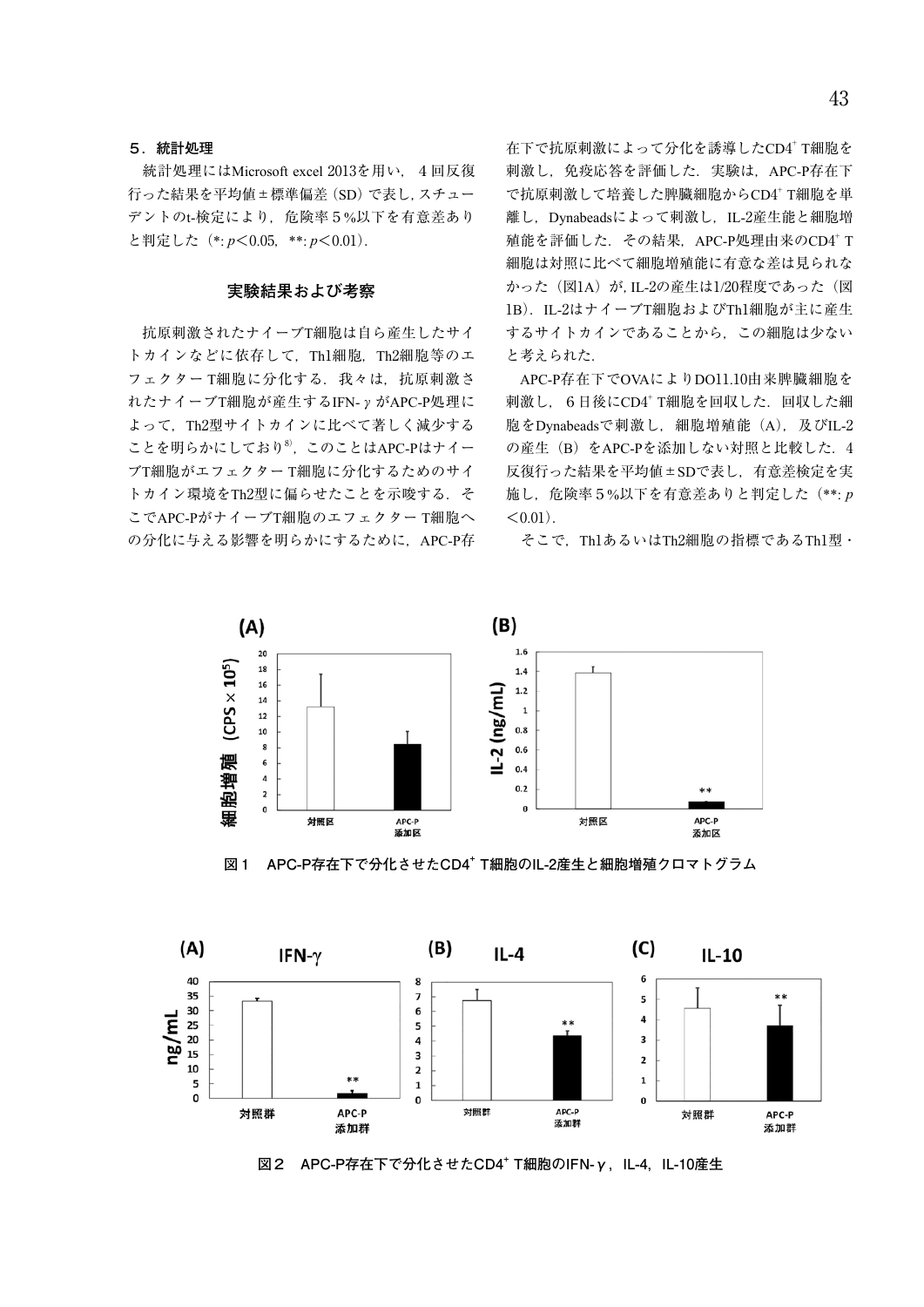#### **5.統計処理**

統計処理にはMicrosoft excel 2013を用い, 4回反復 行った結果を平均値±標準偏差(SD)で表し,スチュー デントのt-検定により、危険率5%以下を有意差あり と判定した(\*: *p*<0.05,\*\*: *p*<0.01).

## **実験結果および考察**

抗原刺激されたナイーブT細胞は自ら産生したサイ トカインなどに依存して、Th1細胞, Th2細胞等のエ フェクター T細胞に分化する. 我々は. 抗原刺激さ れたナイーブT細胞が産生するIFN-γがAPC-P処理に よって,Th2型サイトカインに比べて著しく減少する ことを明らかにしており<sup>8)</sup>, このことはAPC-Pはナイー ブT細胞がエフェクター T細胞に分化するためのサイ トカイン環境をTh2型に偏らせたことを示唆する. そ こでAPC-PがナイーブT細胞のエフェクター T細胞へ の分化に与える影響を明らかにするために、APC-P存 在下で抗原刺激によって分化を誘導したCD4+ T細胞を 刺激し、免疫応答を評価した. 実験は、APC-P存在下 で抗原刺激して培養した脾臓細胞からCD4+ T細胞を単 離し、Dvnabeadsによって刺激し、IL-2産生能と細胞増 殖能を評価した.その結果,APC-P処理由来のCD4<sup>+</sup> T 細胞は対照に比べて細胞増殖能に有意な差は見られな かった (図1A) が, IL-2の産生は1/20程度であった (図 1B). IL-2はナイーブT細胞およびTh1細胞が主に産生 するサイトカインであることから,この細胞は少ない と考えられた.

APC-P存在下でOVAによりDO11.10由来脾臓細胞を 刺激し. 6日後にCD4+ T細胞を回収した. 回収した細 胞をDynabeadsで刺激し、細胞増殖能(A), 及びIL-2 の産生(B)をAPC-Pを添加しない対照と比較した. 4 反復行った結果を平均値±SDで表し,有意差検定を実 施し,危険率5%以下を有意差ありと判定した(\*\*: *p*  $< 0.01$ ).

そこで,Th1あるいはTh2細胞の指標であるTh1型・



**図1 APC-P存在下で分化させたCD4<sup>+</sup> T細胞のIL-2産生と細胞増殖クロマトグラム**



図2 APC-P存在下で分化させたCD4<sup>+</sup> T細胞のIFN-γ, IL-4, IL-10産生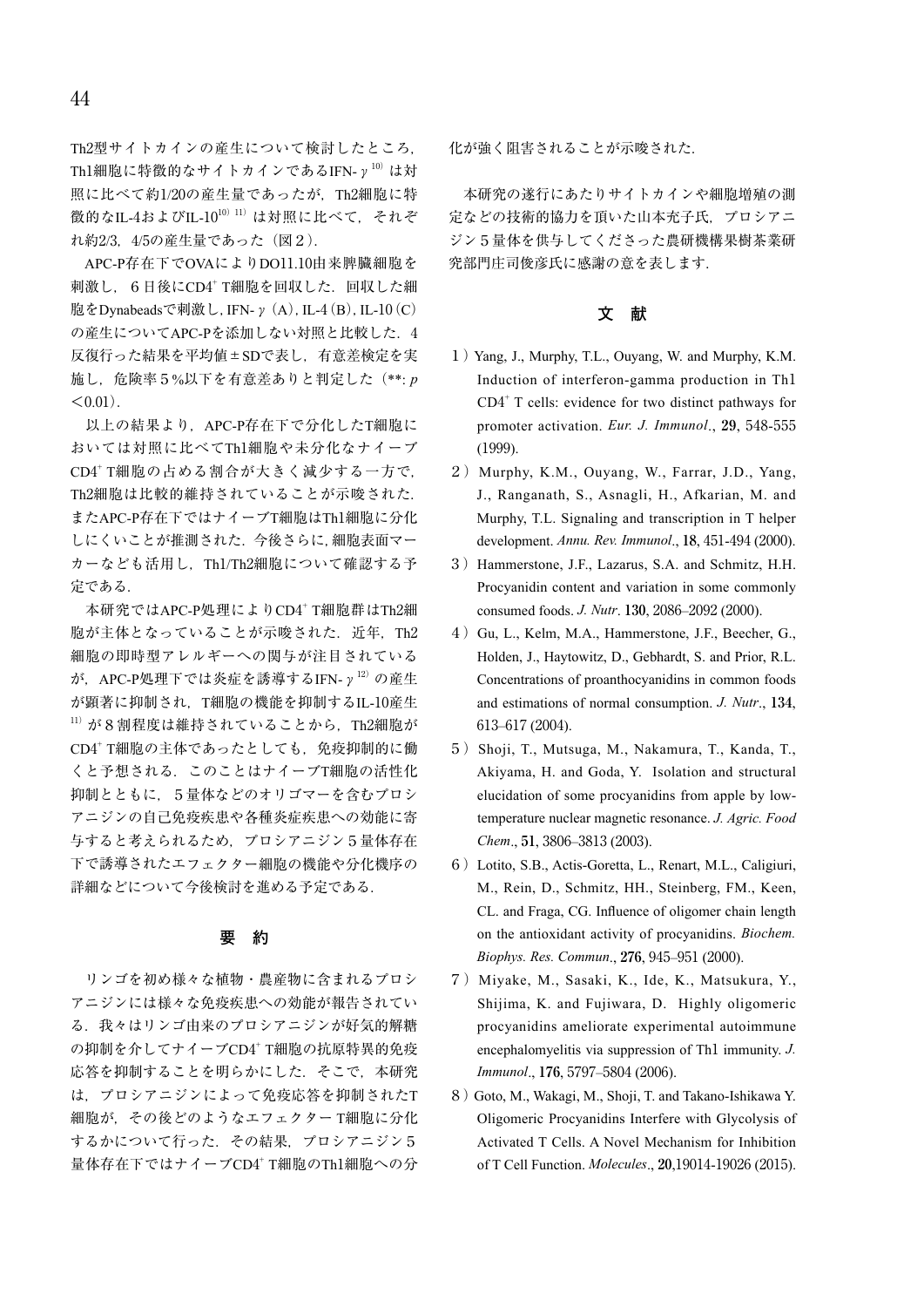Th2型サイトカインの産生について検討したところ, Th1細胞に特徴的なサイトカインであるIFN- $y^{10}$ は対 照に比べて約1/20の産生量であったが,Th2細胞に特 徴的なIL-4およびIL-10<sup>10)11</sup>は対照に比べて、それぞ れ約2/3,4/5の産生量であった(図2).

APC-P存在下でOVAによりDO11.10由来脾臓細胞を 刺激し. 6日後にCD4+ T細胞を回収した. 回収した細 胞をDynabeadsで刺激し,IFN-γ(A),IL-4(B),IL-10(C) の産生についてAPC-Pを添加しない対照と比較した. 4 反復行った結果を平均値±SDで表し,有意差検定を実 施し,危険率5%以下を有意差ありと判定した(\*\*: *p*  $< 0.01$ ).

以上の結果より、APC-P存在下で分化したT細胞に おいては対照に比べてTh1細胞や未分化なナイーブ CD4<sup>+</sup> T細胞の占める割合が大きく減少する一方で, Th2細胞は比較的維持されていることが示唆された. またAPC-P存在下ではナイーブT細胞はTh1細胞に分化 しにくいことが推測された.今後さらに,細胞表面マー カーなども活用し,Th1/Th2細胞について確認する予 定である.

本研究ではAPC-P処理によりCD4+ T細胞群はTh2細 胞が主体となっていることが示唆された. 近年, Th2 細胞の即時型アレルギーへの関与が注目されている が, APC-P処理下では炎症を誘導するIFN-γ<sup>12)</sup>の産生 が顕著に抑制され,T細胞の機能を抑制するIL-10産生  $11)$  が8割程度は維持されていることから、Th2細胞が CD4+ T細胞の主体であったとしても、免疫抑制的に働 くと予想される.このことはナイーブT細胞の活性化 抑制とともに,5量体などのオリゴマーを含むプロシ アニジンの自己免疫疾患や各種炎症疾患への効能に寄 与すると考えられるため,プロシアニジン5量体存在 下で誘導されたエフェクター細胞の機能や分化機序の 詳細などについて今後検討を進める予定である.

#### **要 約**

リンゴを初め様々な植物・農産物に含まれるプロシ アニジンには様々な免疫疾患への効能が報告されてい る. 我々はリンゴ由来のプロシアニジンが好気的解糖 の抑制を介してナイーブCD4+ T細胞の抗原特異的免疫 応答を抑制することを明らかにした. そこで、本研究 は,プロシアニジンによって免疫応答を抑制されたT 細胞が,その後どのようなエフェクター T細胞に分化 するかについて行った.その結果,プロシアニジン5 量体存在下ではナイーブCD4 <sup>+</sup> T細胞のTh1細胞への分

化が強く阻害されることが示唆された.

本研究の遂行にあたりサイトカインや細胞増殖の測 定などの技術的協力を頂いた山本充子氏,プロシアニ ジン5量体を供与してくださった農研機構果樹茶業研 究部門庄司俊彦氏に感謝の意を表します.

### **文 献**

- 1)Yang, J., Murphy, T.L., Ouyang, W. and Murphy, K.M. Induction of interferon-gamma production in Th1  $CD4<sup>+</sup>$  T cells: evidence for two distinct pathways for promoter activation. *Eur. J. Immunol*., **29**, 548-555 (1999).
- 2)Murphy, K.M., Ouyang, W., Farrar, J.D., Yang, J., Ranganath, S., Asnagli, H., Afkarian, M. and Murphy, T.L. Signaling and transcription in T helper development. *Annu. Rev. Immunol*., **18**, 451-494 (2000).
- 3) Hammerstone, J.F., Lazarus, S.A. and Schmitz, H.H. Procyanidin content and variation in some commonly consumed foods. *J. Nutr*. **130**, 2086–2092 (2000).
- 4) Gu, L., Kelm, M.A., Hammerstone, J.F., Beecher, G., Holden, J., Haytowitz, D., Gebhardt, S. and Prior, R.L. Concentrations of proanthocyanidins in common foods and estimations of normal consumption. *J. Nutr*., **134**, 613–617 (2004).
- 5) Shoji, T., Mutsuga, M., Nakamura, T., Kanda, T., Akiyama, H. and Goda, Y. Isolation and structural elucidation of some procyanidins from apple by lowtemperature nuclear magnetic resonance. *J. Agric. Food Chem*., **51**, 3806–3813 (2003).
- 6)Lotito, S.B., Actis-Goretta, L., Renart, M.L., Caligiuri, M., Rein, D., Schmitz, HH., Steinberg, FM., Keen, CL. and Fraga, CG. Influence of oligomer chain length on the antioxidant activity of procyanidins. *Biochem. Biophys. Res. Commun*., **276**, 945–951 (2000).
- 7)Miyake, M., Sasaki, K., Ide, K., Matsukura, Y., Shijima, K. and Fujiwara, D. Highly oligomeric procyanidins ameliorate experimental autoimmune encephalomyelitis via suppression of Th1 immunity. *J. Immunol*., **176**, 5797–5804 (2006).
- 8) Goto, M., Wakagi, M., Shoji, T. and Takano-Ishikawa Y. Oligomeric Procyanidins Interfere with Glycolysis of Activated T Cells. A Novel Mechanism for Inhibition of T Cell Function. *Molecules*., **20**,19014-19026 (2015).